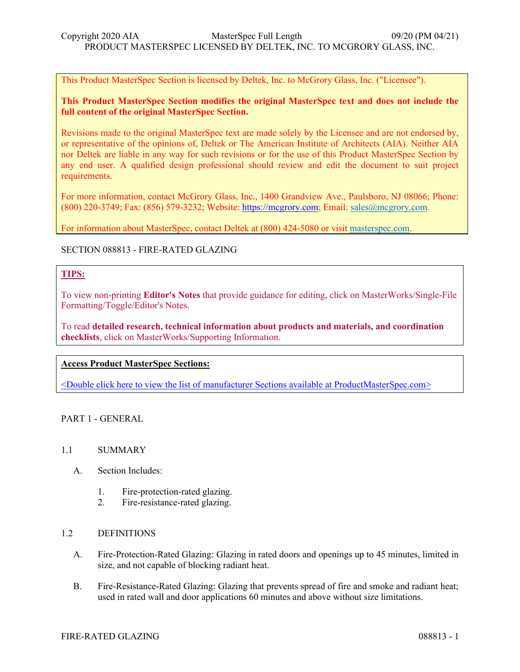This Product MasterSpec Section is licensed by Deltek, Inc. to McGrory Glass, Inc. ("Licensee").

# **This Product MasterSpec Section modifies the original MasterSpec text and does not include the full content of the original MasterSpec Section.**

Revisions made to the original MasterSpec text are made solely by the Licensee and are not endorsed by, or representative of the opinions of, Deltek or The American Institute of Architects (AIA). Neither AIA nor Deltek are liable in any way for such revisions or for the use of this Product MasterSpec Section by any end user. A qualified design professional should review and edit the document to suit project requirements.

For more information, contact McGrory Glass, Inc., 1400 Grandview Ave., Paulsboro, NJ 08066; Phone: (800) 220-3749; Fax: (856) 579-3232; Website: [https://mcgrory.com;](https://mcgrory.com/) Email[: sales@mcgrory.com.](mailto:sales@mcgrory.com)

For information about MasterSpec, contact Deltek at (800) 424-5080 or visi[t masterspec.com.](http://masterspec.com/)

# SECTION 088813 - FIRE-RATED GLAZING

# **TIPS:**

To view non-printing **Editor's Notes** that provide guidance for editing, click on MasterWorks/Single-File Formatting/Toggle/Editor's Notes.

To read **detailed research, technical information about products and materials, and coordination checklists**, click on MasterWorks/Supporting Information.

## **Access Product MasterSpec Sections:**

[<Double click here to view the list of manufacturer Sections available at ProductMasterSpec.com>](https://www.productmasterspec.com/default.aspx?orderby=manufacturer&view=)

PART 1 - GENERAL

## 1.1 SUMMARY

- A. Section Includes:
	- 1. Fire-protection-rated glazing.
	- 2. Fire-resistance-rated glazing.

### 1.2 DEFINITIONS

- A. Fire-Protection-Rated Glazing: Glazing in rated doors and openings up to 45 minutes, limited in size, and not capable of blocking radiant heat.
- B. Fire-Resistance-Rated Glazing: Glazing that prevents spread of fire and smoke and radiant heat; used in rated wall and door applications 60 minutes and above without size limitations.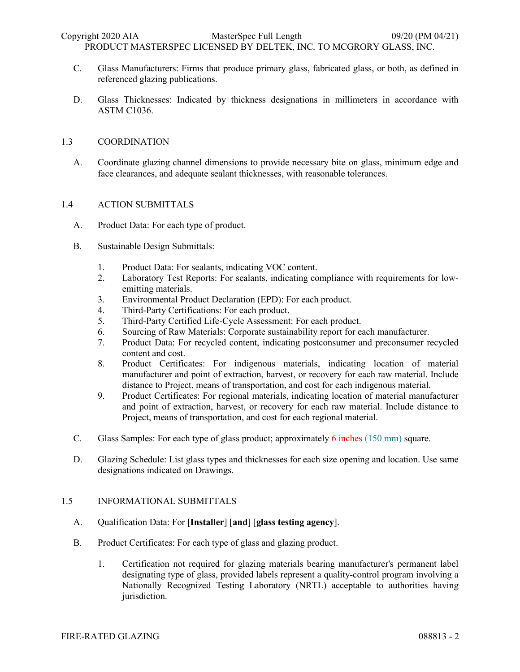PRODUCT MASTERSPEC LICENSED BY DELTEK, INC. TO MCGRORY GLASS, INC.

- C. Glass Manufacturers: Firms that produce primary glass, fabricated glass, or both, as defined in referenced glazing publications.
- D. Glass Thicknesses: Indicated by thickness designations in millimeters in accordance with ASTM C1036.

## 1.3 COORDINATION

A. Coordinate glazing channel dimensions to provide necessary bite on glass, minimum edge and face clearances, and adequate sealant thicknesses, with reasonable tolerances.

## 1.4 ACTION SUBMITTALS

- A. Product Data: For each type of product.
- B. Sustainable Design Submittals:
	- 1. Product Data: For sealants, indicating VOC content.
	- 2. Laboratory Test Reports: For sealants, indicating compliance with requirements for lowemitting materials.
	- 3. Environmental Product Declaration (EPD): For each product.
	- 4. Third-Party Certifications: For each product.
	- 5. Third-Party Certified Life-Cycle Assessment: For each product.
	- 6. Sourcing of Raw Materials: Corporate sustainability report for each manufacturer.
	- 7. Product Data: For recycled content, indicating postconsumer and preconsumer recycled content and cost.
	- 8. Product Certificates: For indigenous materials, indicating location of material manufacturer and point of extraction, harvest, or recovery for each raw material. Include distance to Project, means of transportation, and cost for each indigenous material.
	- 9. Product Certificates: For regional materials, indicating location of material manufacturer and point of extraction, harvest, or recovery for each raw material. Include distance to Project, means of transportation, and cost for each regional material.
- C. Glass Samples: For each type of glass product; approximately 6 inches (150 mm) square.
- D. Glazing Schedule: List glass types and thicknesses for each size opening and location. Use same designations indicated on Drawings.

### 1.5 INFORMATIONAL SUBMITTALS

- A. Qualification Data: For [**Installer**] [**and**] [**glass testing agency**].
- B. Product Certificates: For each type of glass and glazing product.
	- 1. Certification not required for glazing materials bearing manufacturer's permanent label designating type of glass, provided labels represent a quality-control program involving a Nationally Recognized Testing Laboratory (NRTL) acceptable to authorities having jurisdiction.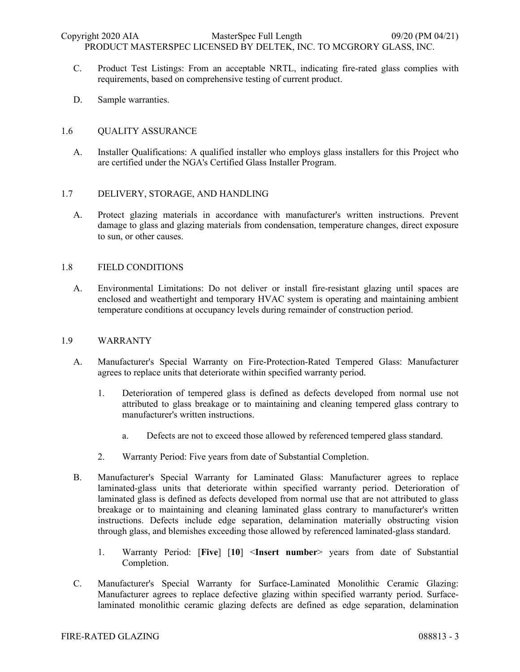- C. Product Test Listings: From an acceptable NRTL, indicating fire-rated glass complies with requirements, based on comprehensive testing of current product.
- D. Sample warranties.

## 1.6 QUALITY ASSURANCE

A. Installer Qualifications: A qualified installer who employs glass installers for this Project who are certified under the NGA's Certified Glass Installer Program.

### 1.7 DELIVERY, STORAGE, AND HANDLING

A. Protect glazing materials in accordance with manufacturer's written instructions. Prevent damage to glass and glazing materials from condensation, temperature changes, direct exposure to sun, or other causes.

### 1.8 FIELD CONDITIONS

A. Environmental Limitations: Do not deliver or install fire-resistant glazing until spaces are enclosed and weathertight and temporary HVAC system is operating and maintaining ambient temperature conditions at occupancy levels during remainder of construction period.

### 1.9 WARRANTY

- A. Manufacturer's Special Warranty on Fire-Protection-Rated Tempered Glass: Manufacturer agrees to replace units that deteriorate within specified warranty period.
	- 1. Deterioration of tempered glass is defined as defects developed from normal use not attributed to glass breakage or to maintaining and cleaning tempered glass contrary to manufacturer's written instructions.
		- a. Defects are not to exceed those allowed by referenced tempered glass standard.
	- 2. Warranty Period: Five years from date of Substantial Completion.
- B. Manufacturer's Special Warranty for Laminated Glass: Manufacturer agrees to replace laminated-glass units that deteriorate within specified warranty period. Deterioration of laminated glass is defined as defects developed from normal use that are not attributed to glass breakage or to maintaining and cleaning laminated glass contrary to manufacturer's written instructions. Defects include edge separation, delamination materially obstructing vision through glass, and blemishes exceeding those allowed by referenced laminated-glass standard.
	- 1. Warranty Period: [**Five**] [**10**] <**Insert number**> years from date of Substantial Completion.
- C. Manufacturer's Special Warranty for Surface-Laminated Monolithic Ceramic Glazing: Manufacturer agrees to replace defective glazing within specified warranty period. Surfacelaminated monolithic ceramic glazing defects are defined as edge separation, delamination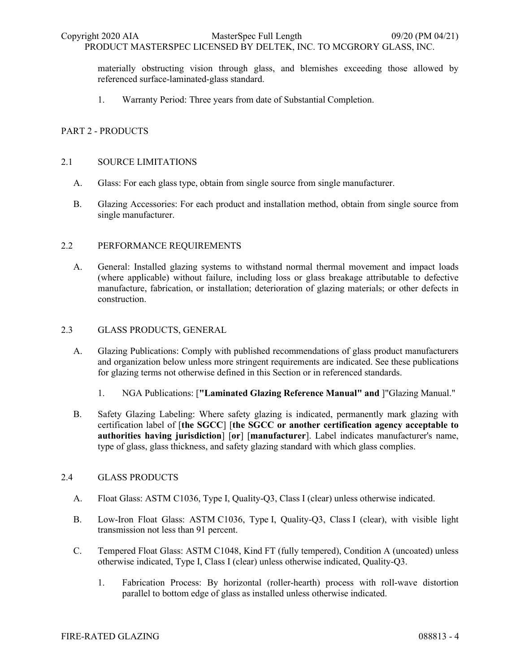PRODUCT MASTERSPEC LICENSED BY DELTEK, INC. TO MCGRORY GLASS, INC.

materially obstructing vision through glass, and blemishes exceeding those allowed by referenced surface-laminated-glass standard.

1. Warranty Period: Three years from date of Substantial Completion.

# PART 2 - PRODUCTS

## 2.1 SOURCE LIMITATIONS

- A. Glass: For each glass type, obtain from single source from single manufacturer.
- B. Glazing Accessories: For each product and installation method, obtain from single source from single manufacturer.

## 2.2 PERFORMANCE REQUIREMENTS

A. General: Installed glazing systems to withstand normal thermal movement and impact loads (where applicable) without failure, including loss or glass breakage attributable to defective manufacture, fabrication, or installation; deterioration of glazing materials; or other defects in construction.

## 2.3 GLASS PRODUCTS, GENERAL

- A. Glazing Publications: Comply with published recommendations of glass product manufacturers and organization below unless more stringent requirements are indicated. See these publications for glazing terms not otherwise defined in this Section or in referenced standards.
	- 1. NGA Publications: [**"Laminated Glazing Reference Manual" and** ]"Glazing Manual."
- B. Safety Glazing Labeling: Where safety glazing is indicated, permanently mark glazing with certification label of [**the SGCC**] [**the SGCC or another certification agency acceptable to authorities having jurisdiction**] [**or**] [**manufacturer**]. Label indicates manufacturer's name, type of glass, glass thickness, and safety glazing standard with which glass complies.

# 2.4 GLASS PRODUCTS

- A. Float Glass: ASTM C1036, Type I, Quality-Q3, Class I (clear) unless otherwise indicated.
- B. Low-Iron Float Glass: ASTM C1036, Type I, Quality-Q3, Class I (clear), with visible light transmission not less than 91 percent.
- C. Tempered Float Glass: ASTM C1048, Kind FT (fully tempered), Condition A (uncoated) unless otherwise indicated, Type I, Class I (clear) unless otherwise indicated, Quality-Q3.
	- 1. Fabrication Process: By horizontal (roller-hearth) process with roll-wave distortion parallel to bottom edge of glass as installed unless otherwise indicated.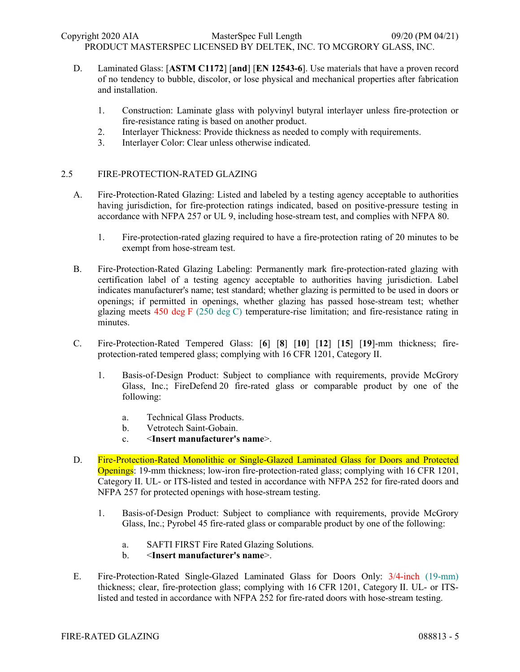- D. Laminated Glass: [**ASTM C1172**] [**and**] [**EN 12543-6**]. Use materials that have a proven record of no tendency to bubble, discolor, or lose physical and mechanical properties after fabrication and installation.
	- 1. Construction: Laminate glass with polyvinyl butyral interlayer unless fire-protection or fire-resistance rating is based on another product.
	- 2. Interlayer Thickness: Provide thickness as needed to comply with requirements.
	- 3. Interlayer Color: Clear unless otherwise indicated.

# 2.5 FIRE-PROTECTION-RATED GLAZING

- A. Fire-Protection-Rated Glazing: Listed and labeled by a testing agency acceptable to authorities having jurisdiction, for fire-protection ratings indicated, based on positive-pressure testing in accordance with NFPA 257 or UL 9, including hose-stream test, and complies with NFPA 80.
	- 1. Fire-protection-rated glazing required to have a fire-protection rating of 20 minutes to be exempt from hose-stream test.
- B. Fire-Protection-Rated Glazing Labeling: Permanently mark fire-protection-rated glazing with certification label of a testing agency acceptable to authorities having jurisdiction. Label indicates manufacturer's name; test standard; whether glazing is permitted to be used in doors or openings; if permitted in openings, whether glazing has passed hose-stream test; whether glazing meets 450 deg F (250 deg C) temperature-rise limitation; and fire-resistance rating in minutes.
- C. Fire-Protection-Rated Tempered Glass: [**6**] [**8**] [**10**] [**12**] [**15**] [**19**]-mm thickness; fireprotection-rated tempered glass; complying with 16 CFR 1201, Category II.
	- 1. Basis-of-Design Product: Subject to compliance with requirements, provide McGrory Glass, Inc.; FireDefend 20 fire-rated glass or comparable product by one of the following:
		- a. Technical Glass Products.
		- b. Vetrotech Saint-Gobain.
		- c. <**Insert manufacturer's name**>.
- D. Fire-Protection-Rated Monolithic or Single-Glazed Laminated Glass for Doors and Protected Openings: 19-mm thickness; low-iron fire-protection-rated glass; complying with 16 CFR 1201, Category II. UL- or ITS-listed and tested in accordance with NFPA 252 for fire-rated doors and NFPA 257 for protected openings with hose-stream testing.
	- 1. Basis-of-Design Product: Subject to compliance with requirements, provide McGrory Glass, Inc.; Pyrobel 45 fire-rated glass or comparable product by one of the following:
		- a. SAFTI FIRST Fire Rated Glazing Solutions.
		- b. <**Insert manufacturer's name**>.
- E. Fire-Protection-Rated Single-Glazed Laminated Glass for Doors Only: 3/4-inch (19-mm) thickness; clear, fire-protection glass; complying with 16 CFR 1201, Category II. UL- or ITSlisted and tested in accordance with NFPA 252 for fire-rated doors with hose-stream testing.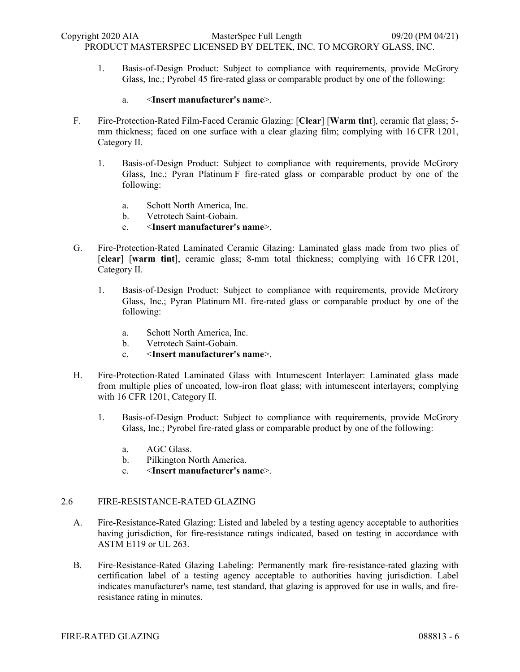1. Basis-of-Design Product: Subject to compliance with requirements, provide McGrory Glass, Inc.; Pyrobel 45 fire-rated glass or comparable product by one of the following:

## a. <**Insert manufacturer's name**>.

- F. Fire-Protection-Rated Film-Faced Ceramic Glazing: [**Clear**] [**Warm tint**], ceramic flat glass; 5 mm thickness; faced on one surface with a clear glazing film; complying with 16 CFR 1201, Category II.
	- 1. Basis-of-Design Product: Subject to compliance with requirements, provide McGrory Glass, Inc.; Pyran Platinum F fire-rated glass or comparable product by one of the following:
		- a. Schott North America, Inc.
		- b. Vetrotech Saint-Gobain.
		- c. <**Insert manufacturer's name**>.
- G. Fire-Protection-Rated Laminated Ceramic Glazing: Laminated glass made from two plies of [**clear**] [**warm tint**], ceramic glass; 8-mm total thickness; complying with 16 CFR 1201, Category II.
	- 1. Basis-of-Design Product: Subject to compliance with requirements, provide McGrory Glass, Inc.; Pyran Platinum ML fire-rated glass or comparable product by one of the following:
		- a. Schott North America, Inc.
		- b. Vetrotech Saint-Gobain.
		- c. <**Insert manufacturer's name**>.
- H. Fire-Protection-Rated Laminated Glass with Intumescent Interlayer: Laminated glass made from multiple plies of uncoated, low-iron float glass; with intumescent interlayers; complying with 16 CFR 1201, Category II.
	- 1. Basis-of-Design Product: Subject to compliance with requirements, provide McGrory Glass, Inc.; Pyrobel fire-rated glass or comparable product by one of the following:
		- a. AGC Glass.
		- b. Pilkington North America.
		- c. <**Insert manufacturer's name**>.

# 2.6 FIRE-RESISTANCE-RATED GLAZING

- A. Fire-Resistance-Rated Glazing: Listed and labeled by a testing agency acceptable to authorities having jurisdiction, for fire-resistance ratings indicated, based on testing in accordance with ASTM E119 or UL 263.
- B. Fire-Resistance-Rated Glazing Labeling: Permanently mark fire-resistance-rated glazing with certification label of a testing agency acceptable to authorities having jurisdiction. Label indicates manufacturer's name, test standard, that glazing is approved for use in walls, and fireresistance rating in minutes.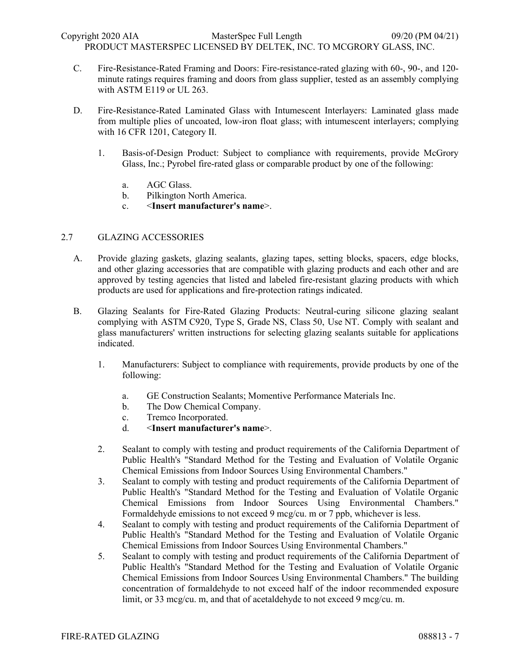C. Fire-Resistance-Rated Framing and Doors: Fire-resistance-rated glazing with 60-, 90-, and 120 minute ratings requires framing and doors from glass supplier, tested as an assembly complying with ASTM E119 or UL 263.

- D. Fire-Resistance-Rated Laminated Glass with Intumescent Interlayers: Laminated glass made from multiple plies of uncoated, low-iron float glass; with intumescent interlayers; complying with 16 CFR 1201, Category II.
	- 1. Basis-of-Design Product: Subject to compliance with requirements, provide McGrory Glass, Inc.; Pyrobel fire-rated glass or comparable product by one of the following:
		- a. AGC Glass.
		- b. Pilkington North America.
		- c. <**Insert manufacturer's name**>.

# 2.7 GLAZING ACCESSORIES

- A. Provide glazing gaskets, glazing sealants, glazing tapes, setting blocks, spacers, edge blocks, and other glazing accessories that are compatible with glazing products and each other and are approved by testing agencies that listed and labeled fire-resistant glazing products with which products are used for applications and fire-protection ratings indicated.
- B. Glazing Sealants for Fire-Rated Glazing Products: Neutral-curing silicone glazing sealant complying with ASTM C920, Type S, Grade NS, Class 50, Use NT. Comply with sealant and glass manufacturers' written instructions for selecting glazing sealants suitable for applications indicated.
	- 1. Manufacturers: Subject to compliance with requirements, provide products by one of the following:
		- a. GE Construction Sealants; Momentive Performance Materials Inc.
		- b. The Dow Chemical Company.
		- c. Tremco Incorporated.
		- d. <**Insert manufacturer's name**>.
	- 2. Sealant to comply with testing and product requirements of the California Department of Public Health's "Standard Method for the Testing and Evaluation of Volatile Organic Chemical Emissions from Indoor Sources Using Environmental Chambers."
	- 3. Sealant to comply with testing and product requirements of the California Department of Public Health's "Standard Method for the Testing and Evaluation of Volatile Organic Chemical Emissions from Indoor Sources Using Environmental Chambers." Formaldehyde emissions to not exceed 9 mcg/cu. m or 7 ppb, whichever is less.
	- 4. Sealant to comply with testing and product requirements of the California Department of Public Health's "Standard Method for the Testing and Evaluation of Volatile Organic Chemical Emissions from Indoor Sources Using Environmental Chambers."
	- 5. Sealant to comply with testing and product requirements of the California Department of Public Health's "Standard Method for the Testing and Evaluation of Volatile Organic Chemical Emissions from Indoor Sources Using Environmental Chambers." The building concentration of formaldehyde to not exceed half of the indoor recommended exposure limit, or 33 mcg/cu. m, and that of acetaldehyde to not exceed 9 mcg/cu. m.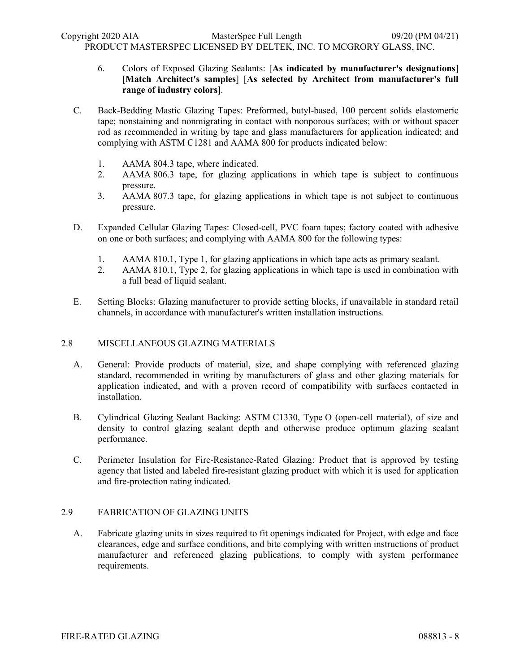- 6. Colors of Exposed Glazing Sealants: [**As indicated by manufacturer's designations**] [**Match Architect's samples**] [**As selected by Architect from manufacturer's full range of industry colors**].
- C. Back-Bedding Mastic Glazing Tapes: Preformed, butyl-based, 100 percent solids elastomeric tape; nonstaining and nonmigrating in contact with nonporous surfaces; with or without spacer rod as recommended in writing by tape and glass manufacturers for application indicated; and complying with ASTM C1281 and AAMA 800 for products indicated below:
	- 1. AAMA 804.3 tape, where indicated.
	- 2. AAMA 806.3 tape, for glazing applications in which tape is subject to continuous pressure.
	- 3. AAMA 807.3 tape, for glazing applications in which tape is not subject to continuous pressure.
- D. Expanded Cellular Glazing Tapes: Closed-cell, PVC foam tapes; factory coated with adhesive on one or both surfaces; and complying with AAMA 800 for the following types:
	- 1. AAMA 810.1, Type 1, for glazing applications in which tape acts as primary sealant.
	- 2. AAMA 810.1, Type 2, for glazing applications in which tape is used in combination with a full bead of liquid sealant.
- E. Setting Blocks: Glazing manufacturer to provide setting blocks, if unavailable in standard retail channels, in accordance with manufacturer's written installation instructions.

# 2.8 MISCELLANEOUS GLAZING MATERIALS

- A. General: Provide products of material, size, and shape complying with referenced glazing standard, recommended in writing by manufacturers of glass and other glazing materials for application indicated, and with a proven record of compatibility with surfaces contacted in installation.
- B. Cylindrical Glazing Sealant Backing: ASTM C1330, Type O (open-cell material), of size and density to control glazing sealant depth and otherwise produce optimum glazing sealant performance.
- C. Perimeter Insulation for Fire-Resistance-Rated Glazing: Product that is approved by testing agency that listed and labeled fire-resistant glazing product with which it is used for application and fire-protection rating indicated.

### 2.9 FABRICATION OF GLAZING UNITS

A. Fabricate glazing units in sizes required to fit openings indicated for Project, with edge and face clearances, edge and surface conditions, and bite complying with written instructions of product manufacturer and referenced glazing publications, to comply with system performance requirements.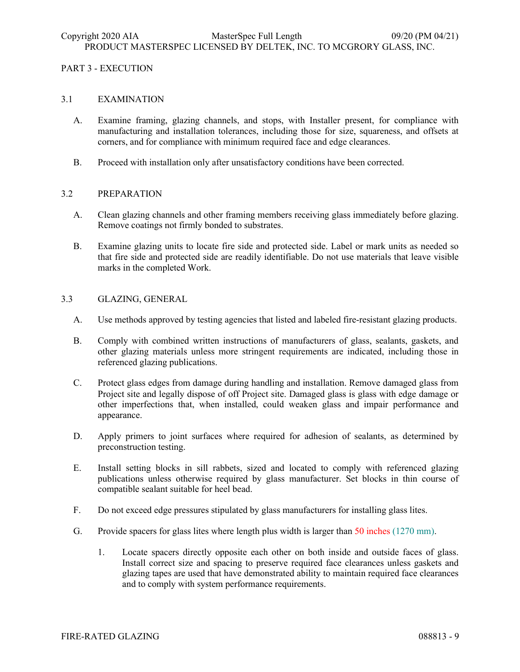# PART 3 - EXECUTION

## 3.1 EXAMINATION

- A. Examine framing, glazing channels, and stops, with Installer present, for compliance with manufacturing and installation tolerances, including those for size, squareness, and offsets at corners, and for compliance with minimum required face and edge clearances.
- B. Proceed with installation only after unsatisfactory conditions have been corrected.

# 3.2 PREPARATION

- A. Clean glazing channels and other framing members receiving glass immediately before glazing. Remove coatings not firmly bonded to substrates.
- B. Examine glazing units to locate fire side and protected side. Label or mark units as needed so that fire side and protected side are readily identifiable. Do not use materials that leave visible marks in the completed Work.
- 3.3 GLAZING, GENERAL
	- A. Use methods approved by testing agencies that listed and labeled fire-resistant glazing products.
	- B. Comply with combined written instructions of manufacturers of glass, sealants, gaskets, and other glazing materials unless more stringent requirements are indicated, including those in referenced glazing publications.
	- C. Protect glass edges from damage during handling and installation. Remove damaged glass from Project site and legally dispose of off Project site. Damaged glass is glass with edge damage or other imperfections that, when installed, could weaken glass and impair performance and appearance.
	- D. Apply primers to joint surfaces where required for adhesion of sealants, as determined by preconstruction testing.
	- E. Install setting blocks in sill rabbets, sized and located to comply with referenced glazing publications unless otherwise required by glass manufacturer. Set blocks in thin course of compatible sealant suitable for heel bead.
	- F. Do not exceed edge pressures stipulated by glass manufacturers for installing glass lites.
	- G. Provide spacers for glass lites where length plus width is larger than 50 inches (1270 mm).
		- 1. Locate spacers directly opposite each other on both inside and outside faces of glass. Install correct size and spacing to preserve required face clearances unless gaskets and glazing tapes are used that have demonstrated ability to maintain required face clearances and to comply with system performance requirements.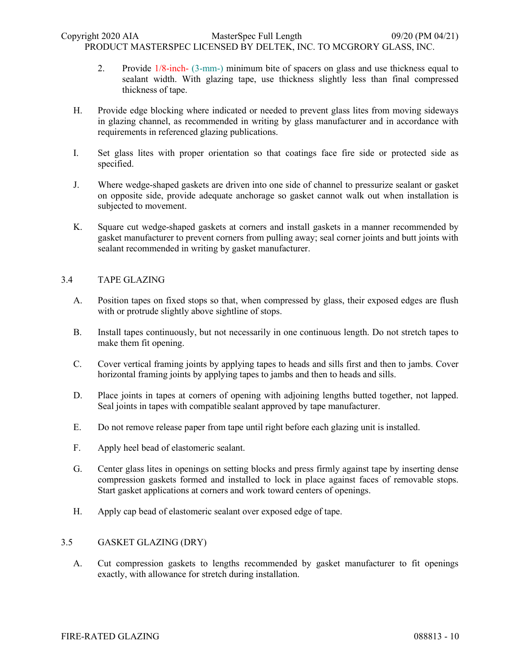- 2. Provide 1/8-inch- (3-mm-) minimum bite of spacers on glass and use thickness equal to sealant width. With glazing tape, use thickness slightly less than final compressed thickness of tape.
- H. Provide edge blocking where indicated or needed to prevent glass lites from moving sideways in glazing channel, as recommended in writing by glass manufacturer and in accordance with requirements in referenced glazing publications.
- I. Set glass lites with proper orientation so that coatings face fire side or protected side as specified.
- J. Where wedge-shaped gaskets are driven into one side of channel to pressurize sealant or gasket on opposite side, provide adequate anchorage so gasket cannot walk out when installation is subjected to movement.
- K. Square cut wedge-shaped gaskets at corners and install gaskets in a manner recommended by gasket manufacturer to prevent corners from pulling away; seal corner joints and butt joints with sealant recommended in writing by gasket manufacturer.

# 3.4 TAPE GLAZING

- A. Position tapes on fixed stops so that, when compressed by glass, their exposed edges are flush with or protrude slightly above sightline of stops.
- B. Install tapes continuously, but not necessarily in one continuous length. Do not stretch tapes to make them fit opening.
- C. Cover vertical framing joints by applying tapes to heads and sills first and then to jambs. Cover horizontal framing joints by applying tapes to jambs and then to heads and sills.
- D. Place joints in tapes at corners of opening with adjoining lengths butted together, not lapped. Seal joints in tapes with compatible sealant approved by tape manufacturer.
- E. Do not remove release paper from tape until right before each glazing unit is installed.
- F. Apply heel bead of elastomeric sealant.
- G. Center glass lites in openings on setting blocks and press firmly against tape by inserting dense compression gaskets formed and installed to lock in place against faces of removable stops. Start gasket applications at corners and work toward centers of openings.
- H. Apply cap bead of elastomeric sealant over exposed edge of tape.

# 3.5 GASKET GLAZING (DRY)

A. Cut compression gaskets to lengths recommended by gasket manufacturer to fit openings exactly, with allowance for stretch during installation.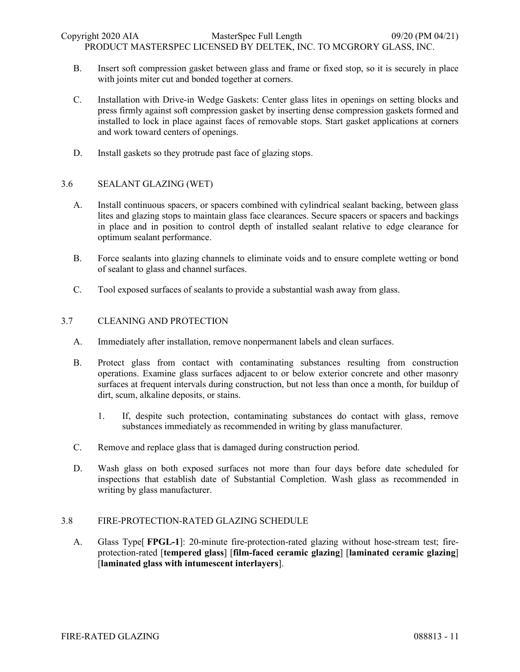- B. Insert soft compression gasket between glass and frame or fixed stop, so it is securely in place with joints miter cut and bonded together at corners.
- C. Installation with Drive-in Wedge Gaskets: Center glass lites in openings on setting blocks and press firmly against soft compression gasket by inserting dense compression gaskets formed and installed to lock in place against faces of removable stops. Start gasket applications at corners and work toward centers of openings.
- D. Install gaskets so they protrude past face of glazing stops.

# 3.6 SEALANT GLAZING (WET)

- A. Install continuous spacers, or spacers combined with cylindrical sealant backing, between glass lites and glazing stops to maintain glass face clearances. Secure spacers or spacers and backings in place and in position to control depth of installed sealant relative to edge clearance for optimum sealant performance.
- B. Force sealants into glazing channels to eliminate voids and to ensure complete wetting or bond of sealant to glass and channel surfaces.
- C. Tool exposed surfaces of sealants to provide a substantial wash away from glass.

### 3.7 CLEANING AND PROTECTION

- A. Immediately after installation, remove nonpermanent labels and clean surfaces.
- B. Protect glass from contact with contaminating substances resulting from construction operations. Examine glass surfaces adjacent to or below exterior concrete and other masonry surfaces at frequent intervals during construction, but not less than once a month, for buildup of dirt, scum, alkaline deposits, or stains.
	- 1. If, despite such protection, contaminating substances do contact with glass, remove substances immediately as recommended in writing by glass manufacturer.
- C. Remove and replace glass that is damaged during construction period.
- D. Wash glass on both exposed surfaces not more than four days before date scheduled for inspections that establish date of Substantial Completion. Wash glass as recommended in writing by glass manufacturer.

## 3.8 FIRE-PROTECTION-RATED GLAZING SCHEDULE

A. Glass Type[ **FPGL-1**]: 20-minute fire-protection-rated glazing without hose-stream test; fireprotection-rated [**tempered glass**] [**film-faced ceramic glazing**] [**laminated ceramic glazing**] [**laminated glass with intumescent interlayers**].